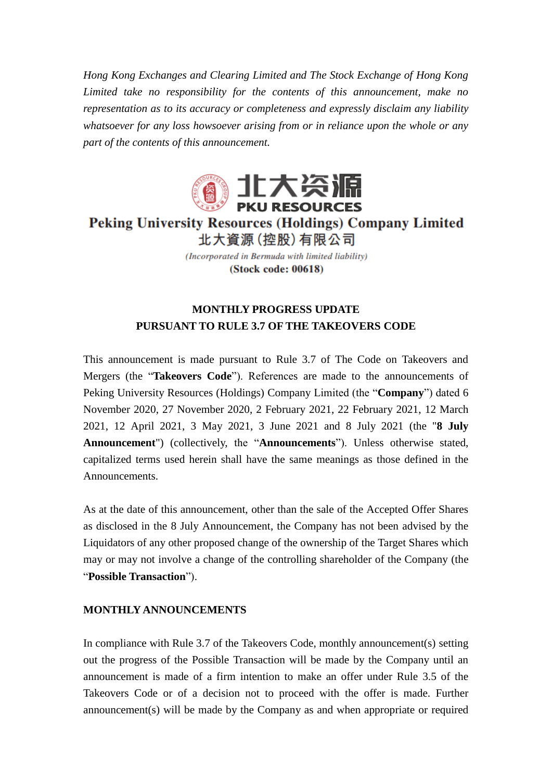*Hong Kong Exchanges and Clearing Limited and The Stock Exchange of Hong Kong Limited take no responsibility for the contents of this announcement, make no representation as to its accuracy or completeness and expressly disclaim any liability whatsoever for any loss howsoever arising from or in reliance upon the whole or any part of the contents of this announcement.*



**Peking University Resources (Holdings) Company Limited** 北大資源 (控股) 有限公司

> (Incorporated in Bermuda with limited liability) (Stock code: 00618)

## **MONTHLY PROGRESS UPDATE PURSUANT TO RULE 3.7 OF THE TAKEOVERS CODE**

This announcement is made pursuant to Rule 3.7 of The Code on Takeovers and Mergers (the "**Takeovers Code**"). References are made to the announcements of Peking University Resources (Holdings) Company Limited (the "**Company**") dated 6 November 2020, 27 November 2020, 2 February 2021, 22 February 2021, 12 March 2021, 12 April 2021, 3 May 2021, 3 June 2021 and 8 July 2021 (the "**8 July Announcement**") (collectively, the "**Announcements**"). Unless otherwise stated, capitalized terms used herein shall have the same meanings as those defined in the Announcements.

As at the date of this announcement, other than the sale of the Accepted Offer Shares as disclosed in the 8 July Announcement, the Company has not been advised by the Liquidators of any other proposed change of the ownership of the Target Shares which may or may not involve a change of the controlling shareholder of the Company (the "**Possible Transaction**").

## **MONTHLY ANNOUNCEMENTS**

In compliance with Rule 3.7 of the Takeovers Code, monthly announcement(s) setting out the progress of the Possible Transaction will be made by the Company until an announcement is made of a firm intention to make an offer under Rule 3.5 of the Takeovers Code or of a decision not to proceed with the offer is made. Further announcement(s) will be made by the Company as and when appropriate or required